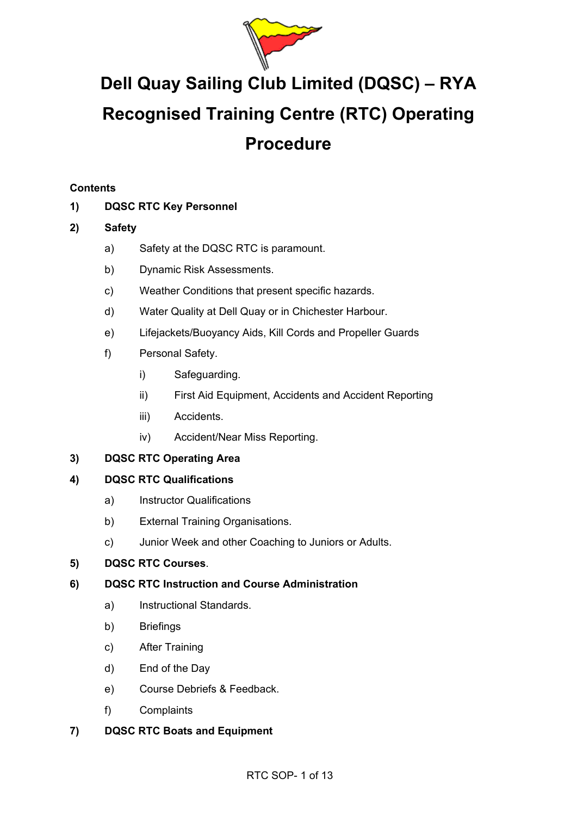

# **Dell Quay Sailing Club Limited (DQSC) – RYA Recognised Training Centre (RTC) Operating Procedure**

# **Contents**

# **1) DQSC RTC Key Personnel**

# **2) Safety**

- a) Safety at the DQSC RTC is paramount.
- b) Dynamic Risk Assessments.
- c) Weather Conditions that present specific hazards.
- d) Water Quality at Dell Quay or in Chichester Harbour.
- e) Lifejackets/Buoyancy Aids, Kill Cords and Propeller Guards
- f) Personal Safety.
	- i) Safeguarding.
	- ii) First Aid Equipment, Accidents and Accident Reporting
	- iii) Accidents.
	- iv) Accident/Near Miss Reporting.

# **3) DQSC RTC Operating Area**

# **4) DQSC RTC Qualifications**

- a) Instructor Qualifications
- b) External Training Organisations.
- c) Junior Week and other Coaching to Juniors or Adults.

# **5) DQSC RTC Courses**.

# **6) DQSC RTC Instruction and Course Administration**

- a) Instructional Standards.
- b) Briefings
- c) After Training
- d) End of the Day
- e) Course Debriefs & Feedback.
- f) Complaints
- **7) DQSC RTC Boats and Equipment**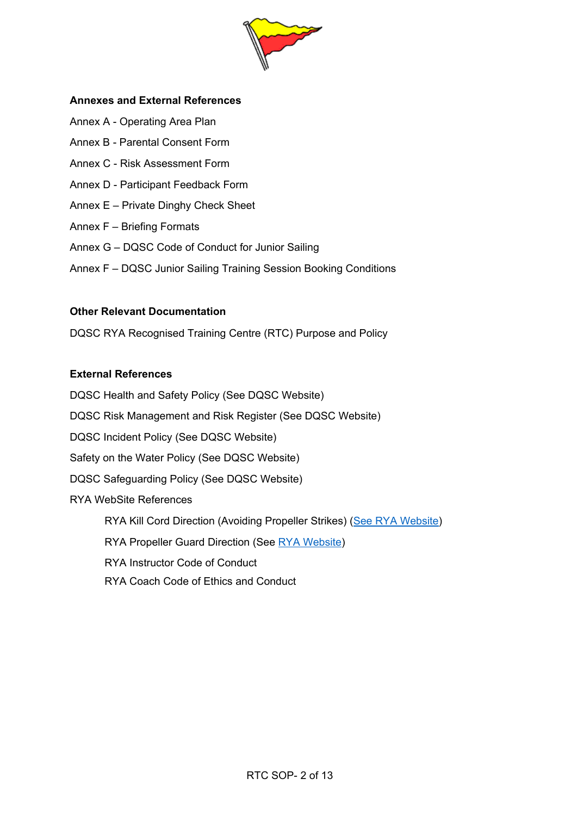

#### **Annexes and External References**

- Annex A Operating Area Plan
- Annex B Parental Consent Form
- Annex C Risk Assessment Form
- Annex D Participant Feedback Form
- Annex E Private Dinghy Check Sheet
- Annex F Briefing Formats
- Annex G DQSC Code of Conduct for Junior Sailing
- Annex F DQSC Junior Sailing Training Session Booking Conditions

#### **Other Relevant Documentation**

DQSC RYA Recognised Training Centre (RTC) Purpose and Policy

#### **External References**

DQSC Health and Safety Policy (See DQSC Website) DQSC Risk Management and Risk Register (See DQSC Website) DQSC Incident Policy (See DQSC Website) Safety on the Water Policy (See DQSC Website) DQSC Safeguarding Policy (See DQSC Website) RYA WebSite References RYA Kill Cord Direction (Avoiding Propeller Strikes) (See RYA Website) RYA Propeller Guard Direction (See RYA Website) RYA Instructor Code of Conduct RYA Coach Code of Ethics and Conduct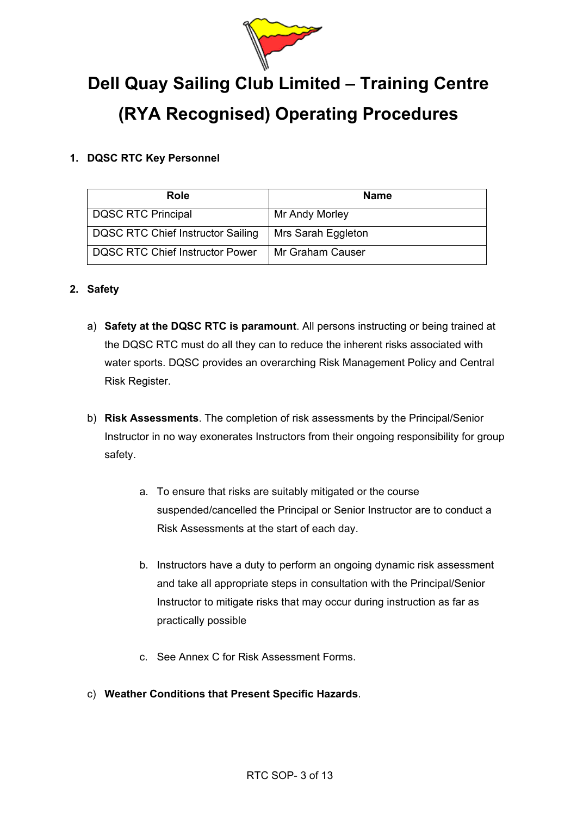

# **Dell Quay Sailing Club Limited – Training Centre (RYA Recognised) Operating Procedures**

# **1. DQSC RTC Key Personnel**

| Role                              | <b>Name</b>        |
|-----------------------------------|--------------------|
| DQSC RTC Principal                | Mr Andy Morley     |
| DQSC RTC Chief Instructor Sailing | Mrs Sarah Eggleton |
| DQSC RTC Chief Instructor Power   | Mr Graham Causer   |

# **2. Safety**

- a) **Safety at the DQSC RTC is paramount**. All persons instructing or being trained at the DQSC RTC must do all they can to reduce the inherent risks associated with water sports. DQSC provides an overarching Risk Management Policy and Central Risk Register.
- b) **Risk Assessments**. The completion of risk assessments by the Principal/Senior Instructor in no way exonerates Instructors from their ongoing responsibility for group safety.
	- a. To ensure that risks are suitably mitigated or the course suspended/cancelled the Principal or Senior Instructor are to conduct a Risk Assessments at the start of each day.
	- b. Instructors have a duty to perform an ongoing dynamic risk assessment and take all appropriate steps in consultation with the Principal/Senior Instructor to mitigate risks that may occur during instruction as far as practically possible
	- c. See Annex C for Risk Assessment Forms.
- c) **Weather Conditions that Present Specific Hazards**.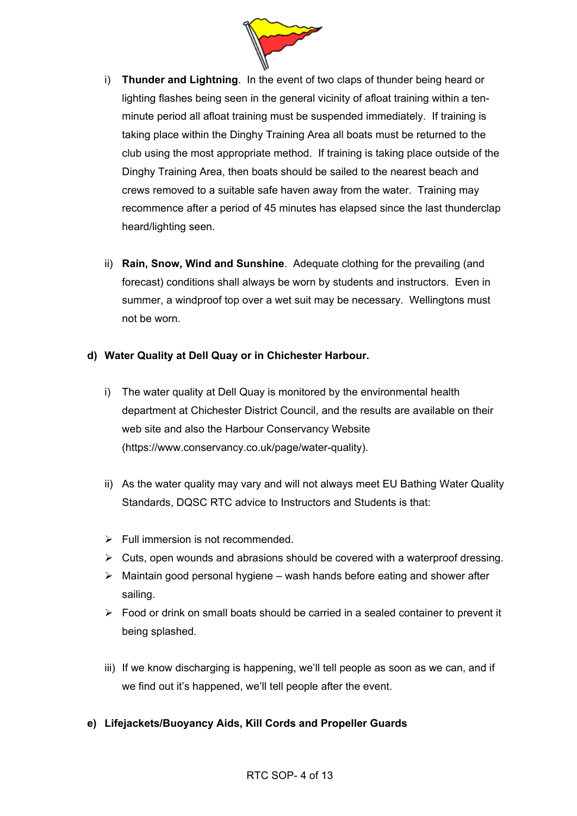

- i) **Thunder and Lightning**. In the event of two claps of thunder being heard or lighting flashes being seen in the general vicinity of afloat training within a tenminute period all afloat training must be suspended immediately. If training is taking place within the Dinghy Training Area all boats must be returned to the club using the most appropriate method. If training is taking place outside of the Dinghy Training Area, then boats should be sailed to the nearest beach and crews removed to a suitable safe haven away from the water. Training may recommence after a period of 45 minutes has elapsed since the last thunderclap heard/lighting seen.
- ii) **Rain, Snow, Wind and Sunshine**. Adequate clothing for the prevailing (and forecast) conditions shall always be worn by students and instructors. Even in summer, a windproof top over a wet suit may be necessary. Wellingtons must not be worn.

# **d) Water Quality at Dell Quay or in Chichester Harbour.**

- i) The water quality at Dell Quay is monitored by the environmental health department at Chichester District Council, and the results are available on their web site and also the Harbour Conservancy Website (https://www.conservancy.co.uk/page/water-quality).
- ii) As the water quality may vary and will not always meet EU Bathing Water Quality Standards, DQSC RTC advice to Instructors and Students is that:
- $\triangleright$  Full immersion is not recommended.
- $\triangleright$  Cuts, open wounds and abrasions should be covered with a waterproof dressing.
- $\triangleright$  Maintain good personal hygiene wash hands before eating and shower after sailing.
- $\triangleright$  Food or drink on small boats should be carried in a sealed container to prevent it being splashed.
- iii) If we know discharging is happening, we'll tell people as soon as we can, and if we find out it's happened, we'll tell people after the event.
- **e) Lifejackets/Buoyancy Aids, Kill Cords and Propeller Guards**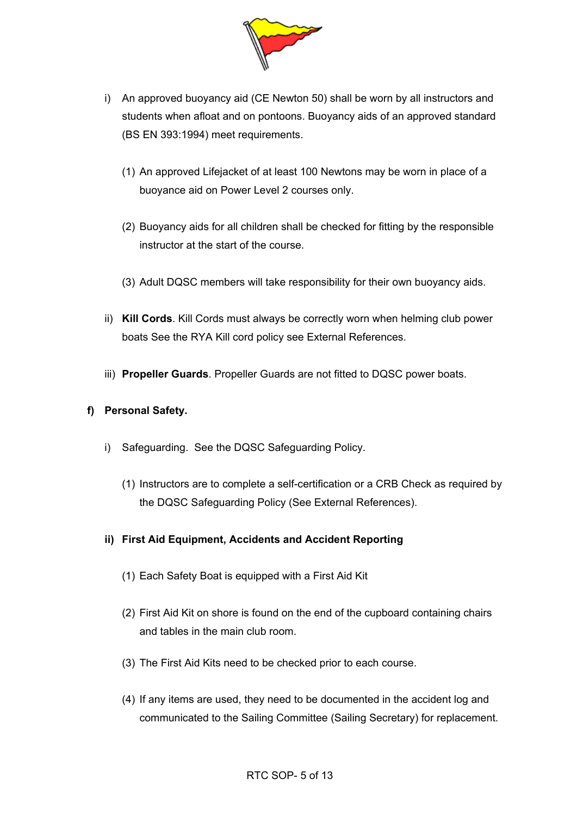

- i) An approved buoyancy aid (CE Newton 50) shall be worn by all instructors and students when afloat and on pontoons. Buoyancy aids of an approved standard (BS EN 393:1994) meet requirements.
	- (1) An approved Lifejacket of at least 100 Newtons may be worn in place of a buoyance aid on Power Level 2 courses only.
	- (2) Buoyancy aids for all children shall be checked for fitting by the responsible instructor at the start of the course.
	- (3) Adult DQSC members will take responsibility for their own buoyancy aids.
- ii) **Kill Cords**. Kill Cords must always be correctly worn when helming club power boats See the RYA Kill cord policy see External References.
- iii) **Propeller Guards**. Propeller Guards are not fitted to DQSC power boats.

#### **f) Personal Safety.**

- i) Safeguarding. See the DQSC Safeguarding Policy.
	- (1) Instructors are to complete a self-certification or a CRB Check as required by the DQSC Safeguarding Policy (See External References).

# **ii) First Aid Equipment, Accidents and Accident Reporting**

- (1) Each Safety Boat is equipped with a First Aid Kit
- (2) First Aid Kit on shore is found on the end of the cupboard containing chairs and tables in the main club room.
- (3) The First Aid Kits need to be checked prior to each course.
- (4) If any items are used, they need to be documented in the accident log and communicated to the Sailing Committee (Sailing Secretary) for replacement.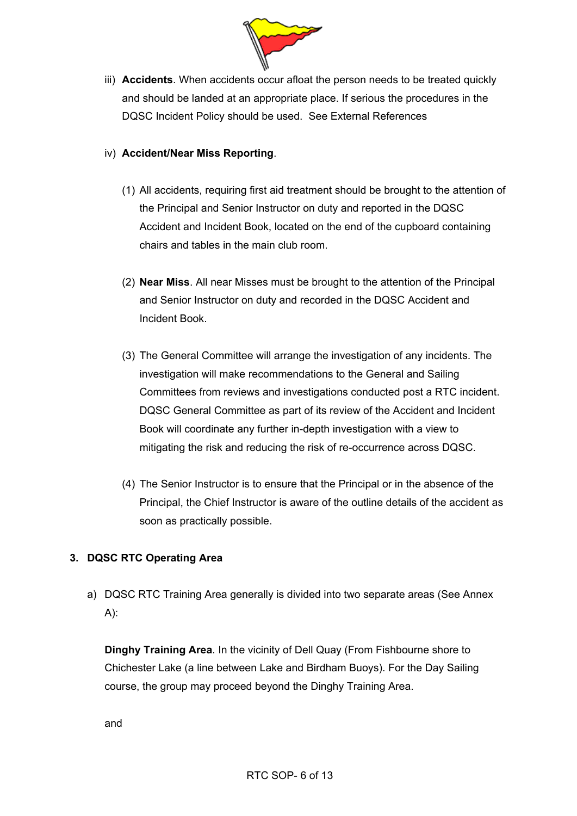

iii) **Accidents**. When accidents occur afloat the person needs to be treated quickly and should be landed at an appropriate place. If serious the procedures in the DQSC Incident Policy should be used. See External References

# iv) **Accident/Near Miss Reporting**.

- (1) All accidents, requiring first aid treatment should be brought to the attention of the Principal and Senior Instructor on duty and reported in the DQSC Accident and Incident Book, located on the end of the cupboard containing chairs and tables in the main club room.
- (2) **Near Miss**. All near Misses must be brought to the attention of the Principal and Senior Instructor on duty and recorded in the DQSC Accident and Incident Book.
- (3) The General Committee will arrange the investigation of any incidents. The investigation will make recommendations to the General and Sailing Committees from reviews and investigations conducted post a RTC incident. DQSC General Committee as part of its review of the Accident and Incident Book will coordinate any further in-depth investigation with a view to mitigating the risk and reducing the risk of re-occurrence across DQSC.
- (4) The Senior Instructor is to ensure that the Principal or in the absence of the Principal, the Chief Instructor is aware of the outline details of the accident as soon as practically possible.

# **3. DQSC RTC Operating Area**

a) DQSC RTC Training Area generally is divided into two separate areas (See Annex A):

**Dinghy Training Area**. In the vicinity of Dell Quay (From Fishbourne shore to Chichester Lake (a line between Lake and Birdham Buoys). For the Day Sailing course, the group may proceed beyond the Dinghy Training Area.

and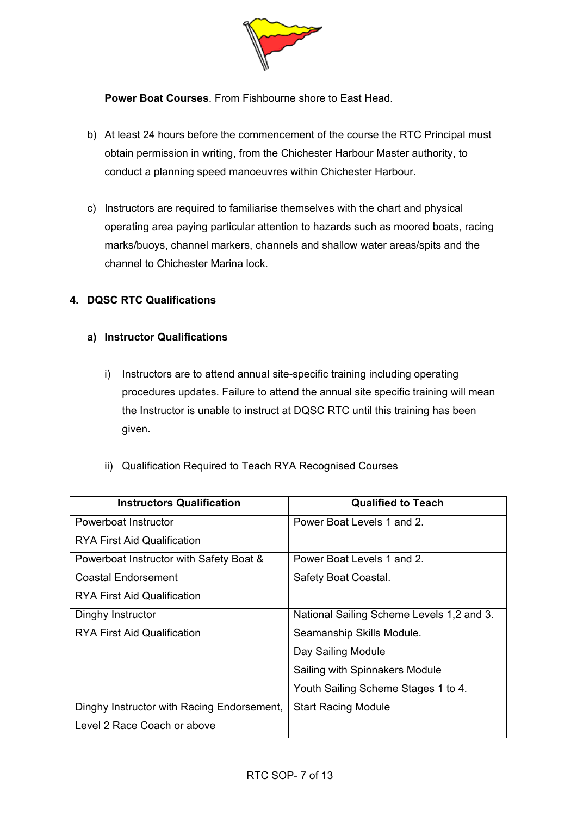

**Power Boat Courses**. From Fishbourne shore to East Head.

- b) At least 24 hours before the commencement of the course the RTC Principal must obtain permission in writing, from the Chichester Harbour Master authority, to conduct a planning speed manoeuvres within Chichester Harbour.
- c) Instructors are required to familiarise themselves with the chart and physical operating area paying particular attention to hazards such as moored boats, racing marks/buoys, channel markers, channels and shallow water areas/spits and the channel to Chichester Marina lock.

# **4. DQSC RTC Qualifications**

#### **a) Instructor Qualifications**

- i) Instructors are to attend annual site-specific training including operating procedures updates. Failure to attend the annual site specific training will mean the Instructor is unable to instruct at DQSC RTC until this training has been given.
- ii) Qualification Required to Teach RYA Recognised Courses

| <b>Instructors Qualification</b>           | <b>Qualified to Teach</b>                 |
|--------------------------------------------|-------------------------------------------|
| Powerboat Instructor                       | Power Boat Levels 1 and 2.                |
| RYA First Aid Qualification                |                                           |
| Powerboat Instructor with Safety Boat &    | Power Boat Levels 1 and 2.                |
| <b>Coastal Endorsement</b>                 | Safety Boat Coastal.                      |
| RYA First Aid Qualification                |                                           |
| Dinghy Instructor                          | National Sailing Scheme Levels 1,2 and 3. |
| <b>RYA First Aid Qualification</b>         | Seamanship Skills Module.                 |
|                                            | Day Sailing Module                        |
|                                            | Sailing with Spinnakers Module            |
|                                            | Youth Sailing Scheme Stages 1 to 4.       |
| Dinghy Instructor with Racing Endorsement, | <b>Start Racing Module</b>                |
| Level 2 Race Coach or above                |                                           |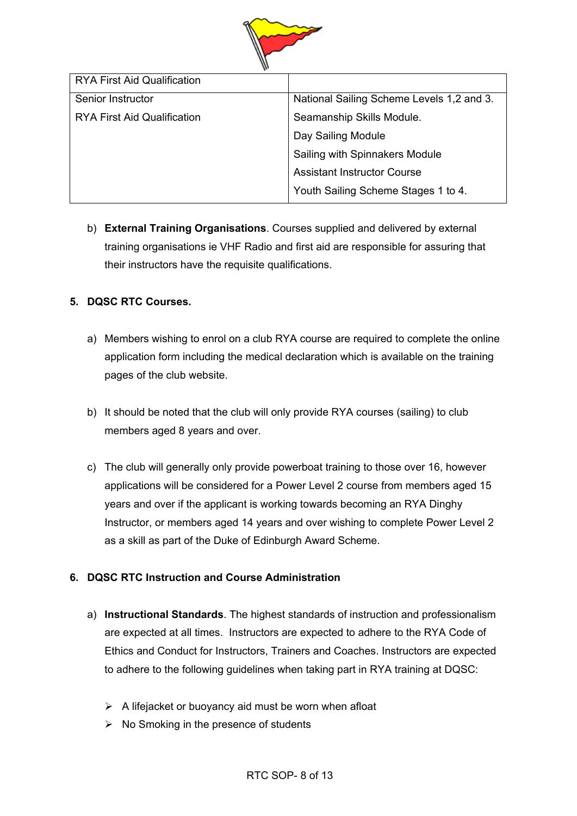

b) **External Training Organisations**. Courses supplied and delivered by external training organisations ie VHF Radio and first aid are responsible for assuring that their instructors have the requisite qualifications.

# **5. DQSC RTC Courses.**

- a) Members wishing to enrol on a club RYA course are required to complete the online application form including the medical declaration which is available on the training pages of the club website.
- b) It should be noted that the club will only provide RYA courses (sailing) to club members aged 8 years and over.
- c) The club will generally only provide powerboat training to those over 16, however applications will be considered for a Power Level 2 course from members aged 15 years and over if the applicant is working towards becoming an RYA Dinghy Instructor, or members aged 14 years and over wishing to complete Power Level 2 as a skill as part of the Duke of Edinburgh Award Scheme.

# **6. DQSC RTC Instruction and Course Administration**

- a) **Instructional Standards**. The highest standards of instruction and professionalism are expected at all times. Instructors are expected to adhere to the RYA Code of Ethics and Conduct for Instructors, Trainers and Coaches. Instructors are expected to adhere to the following guidelines when taking part in RYA training at DQSC:
	- $\triangleright$  A lifejacket or buoyancy aid must be worn when afloat
	- $\triangleright$  No Smoking in the presence of students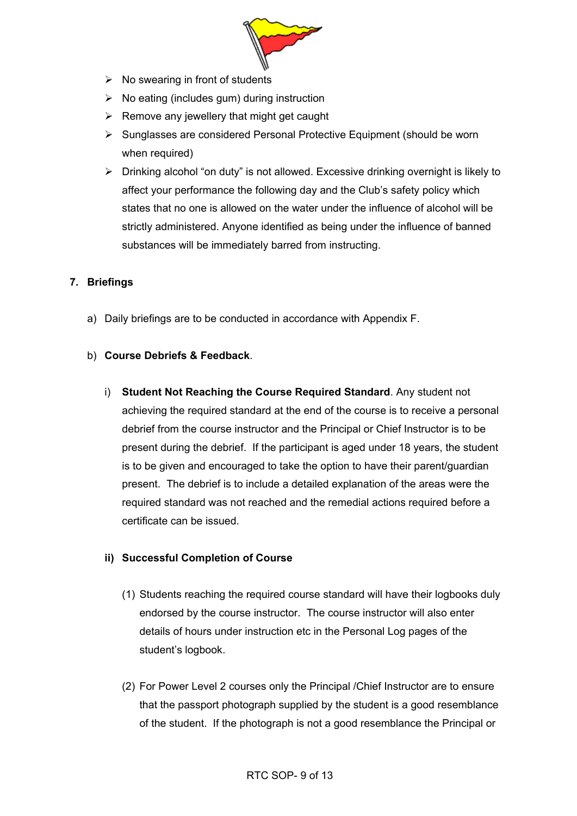

- $\triangleright$  No swearing in front of students
- $\triangleright$  No eating (includes gum) during instruction
- $\triangleright$  Remove any jewellery that might get caught
- $\triangleright$  Sunglasses are considered Personal Protective Equipment (should be worn when required)
- $\triangleright$  Drinking alcohol "on duty" is not allowed. Excessive drinking overnight is likely to affect your performance the following day and the Club's safety policy which states that no one is allowed on the water under the influence of alcohol will be strictly administered. Anyone identified as being under the influence of banned substances will be immediately barred from instructing.

# **7. Briefings**

a) Daily briefings are to be conducted in accordance with Appendix F.

# b) **Course Debriefs & Feedback**.

i) **Student Not Reaching the Course Required Standard**. Any student not achieving the required standard at the end of the course is to receive a personal debrief from the course instructor and the Principal or Chief Instructor is to be present during the debrief. If the participant is aged under 18 years, the student is to be given and encouraged to take the option to have their parent/guardian present. The debrief is to include a detailed explanation of the areas were the required standard was not reached and the remedial actions required before a certificate can be issued.

# **ii) Successful Completion of Course**

- (1) Students reaching the required course standard will have their logbooks duly endorsed by the course instructor. The course instructor will also enter details of hours under instruction etc in the Personal Log pages of the student's logbook.
- (2) For Power Level 2 courses only the Principal /Chief Instructor are to ensure that the passport photograph supplied by the student is a good resemblance of the student. If the photograph is not a good resemblance the Principal or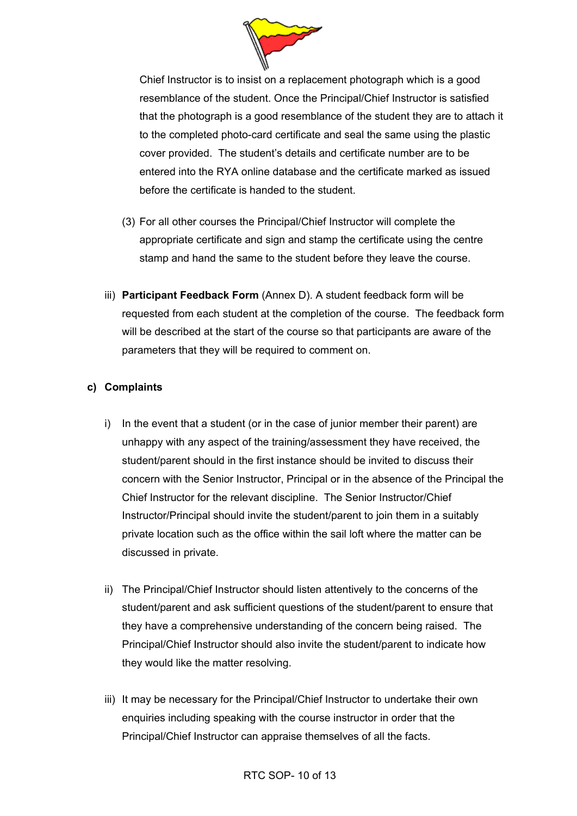

Chief Instructor is to insist on a replacement photograph which is a good resemblance of the student. Once the Principal/Chief Instructor is satisfied that the photograph is a good resemblance of the student they are to attach it to the completed photo-card certificate and seal the same using the plastic cover provided. The student's details and certificate number are to be entered into the RYA online database and the certificate marked as issued before the certificate is handed to the student.

- (3) For all other courses the Principal/Chief Instructor will complete the appropriate certificate and sign and stamp the certificate using the centre stamp and hand the same to the student before they leave the course.
- iii) **Participant Feedback Form** (Annex D). A student feedback form will be requested from each student at the completion of the course. The feedback form will be described at the start of the course so that participants are aware of the parameters that they will be required to comment on.

#### **c) Complaints**

- i) In the event that a student (or in the case of junior member their parent) are unhappy with any aspect of the training/assessment they have received, the student/parent should in the first instance should be invited to discuss their concern with the Senior Instructor, Principal or in the absence of the Principal the Chief Instructor for the relevant discipline. The Senior Instructor/Chief Instructor/Principal should invite the student/parent to join them in a suitably private location such as the office within the sail loft where the matter can be discussed in private.
- ii) The Principal/Chief Instructor should listen attentively to the concerns of the student/parent and ask sufficient questions of the student/parent to ensure that they have a comprehensive understanding of the concern being raised. The Principal/Chief Instructor should also invite the student/parent to indicate how they would like the matter resolving.
- iii) It may be necessary for the Principal/Chief Instructor to undertake their own enquiries including speaking with the course instructor in order that the Principal/Chief Instructor can appraise themselves of all the facts.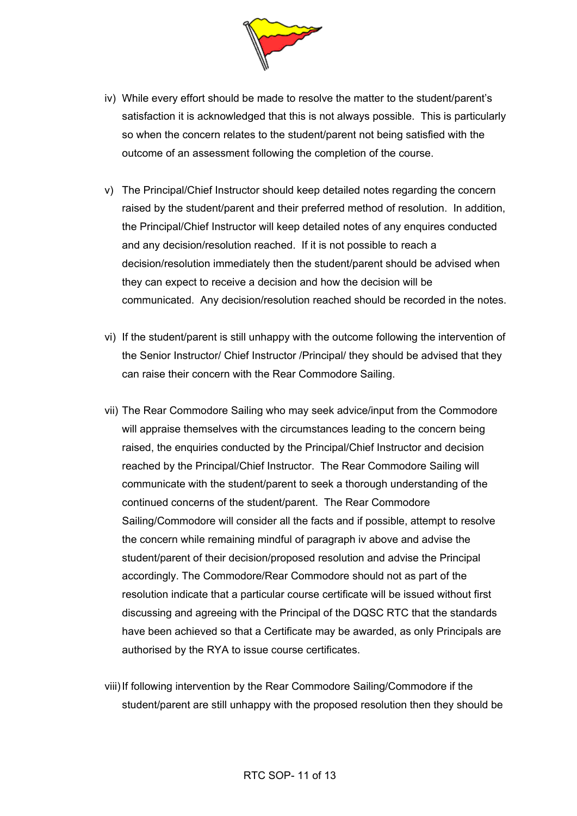

- iv) While every effort should be made to resolve the matter to the student/parent's satisfaction it is acknowledged that this is not always possible. This is particularly so when the concern relates to the student/parent not being satisfied with the outcome of an assessment following the completion of the course.
- v) The Principal/Chief Instructor should keep detailed notes regarding the concern raised by the student/parent and their preferred method of resolution. In addition, the Principal/Chief Instructor will keep detailed notes of any enquires conducted and any decision/resolution reached. If it is not possible to reach a decision/resolution immediately then the student/parent should be advised when they can expect to receive a decision and how the decision will be communicated. Any decision/resolution reached should be recorded in the notes.
- vi) If the student/parent is still unhappy with the outcome following the intervention of the Senior Instructor/ Chief Instructor /Principal/ they should be advised that they can raise their concern with the Rear Commodore Sailing.
- vii) The Rear Commodore Sailing who may seek advice/input from the Commodore will appraise themselves with the circumstances leading to the concern being raised, the enquiries conducted by the Principal/Chief Instructor and decision reached by the Principal/Chief Instructor. The Rear Commodore Sailing will communicate with the student/parent to seek a thorough understanding of the continued concerns of the student/parent. The Rear Commodore Sailing/Commodore will consider all the facts and if possible, attempt to resolve the concern while remaining mindful of paragraph iv above and advise the student/parent of their decision/proposed resolution and advise the Principal accordingly. The Commodore/Rear Commodore should not as part of the resolution indicate that a particular course certificate will be issued without first discussing and agreeing with the Principal of the DQSC RTC that the standards have been achieved so that a Certificate may be awarded, as only Principals are authorised by the RYA to issue course certificates.
- viii) If following intervention by the Rear Commodore Sailing/Commodore if the student/parent are still unhappy with the proposed resolution then they should be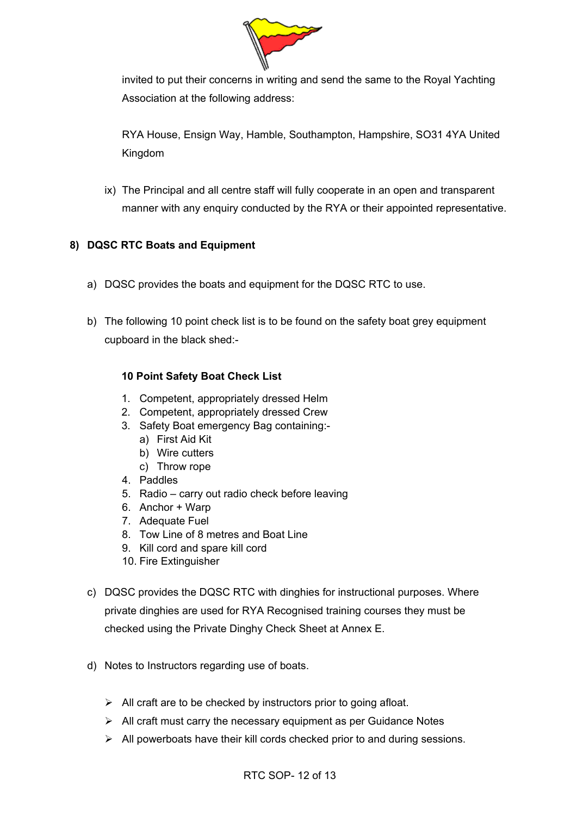

invited to put their concerns in writing and send the same to the Royal Yachting Association at the following address:

RYA House, Ensign Way, Hamble, Southampton, Hampshire, SO31 4YA United Kingdom

ix) The Principal and all centre staff will fully cooperate in an open and transparent manner with any enquiry conducted by the RYA or their appointed representative.

# **8) DQSC RTC Boats and Equipment**

- a) DQSC provides the boats and equipment for the DQSC RTC to use.
- b) The following 10 point check list is to be found on the safety boat grey equipment cupboard in the black shed:-

# **10 Point Safety Boat Check List**

- 1. Competent, appropriately dressed Helm
- 2. Competent, appropriately dressed Crew
- 3. Safety Boat emergency Bag containing:
	- a) First Aid Kit
	- b) Wire cutters
	- c) Throw rope
- 4. Paddles
- 5. Radio carry out radio check before leaving
- 6. Anchor + Warp
- 7. Adequate Fuel
- 8. Tow Line of 8 metres and Boat Line
- 9. Kill cord and spare kill cord
- 10. Fire Extinguisher
- c) DQSC provides the DQSC RTC with dinghies for instructional purposes. Where private dinghies are used for RYA Recognised training courses they must be checked using the Private Dinghy Check Sheet at Annex E.
- d) Notes to Instructors regarding use of boats.
	- $\triangleright$  All craft are to be checked by instructors prior to going afloat.
	- $\triangleright$  All craft must carry the necessary equipment as per Guidance Notes
	- $\triangleright$  All powerboats have their kill cords checked prior to and during sessions.